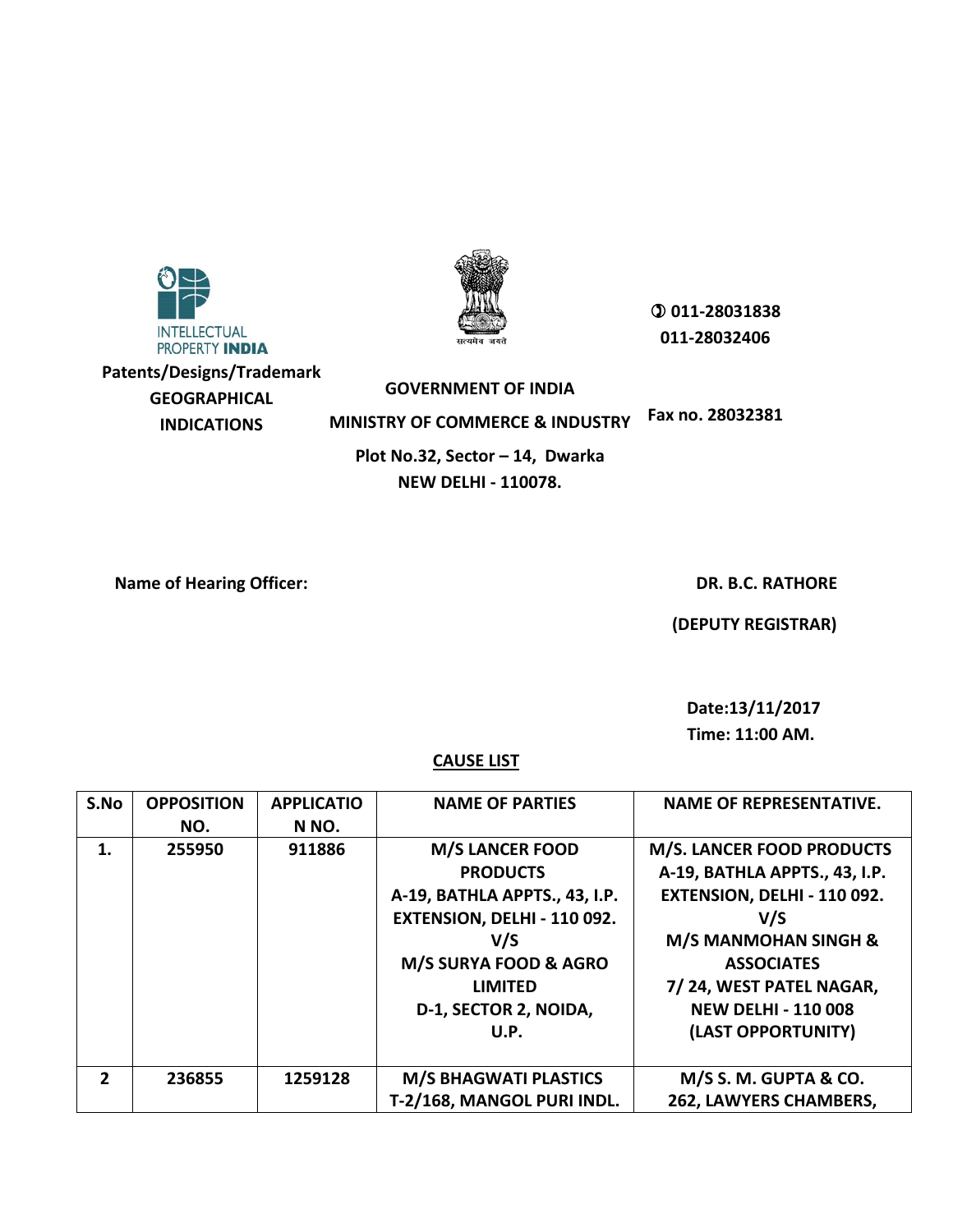

**Patents/Designs/Trademark GEOGRAPHICAL INDICATIONS**



 **011-28031838 011-28032406**

**GOVERNMENT OF INDIA MINISTRY OF COMMERCE & INDUSTRY Fax no. 28032381 Plot No.32, Sector – 14, Dwarka NEW DELHI - 110078.**

**Name of Hearing Officer:**  $\qquad \qquad$  **Name of Hearing Officer:**  $\qquad \qquad$  **DR. B.C. RATHORE** 

 **(DEPUTY REGISTRAR)**

 **Date:13/11/2017** 

**Time: 11:00 AM.**

| S.No           | <b>OPPOSITION</b><br>NO. | <b>APPLICATIO</b><br>N NO. | <b>NAME OF PARTIES</b>                                                                                                                                                                       | <b>NAME OF REPRESENTATIVE.</b>                                                                                                                                                                                                                 |
|----------------|--------------------------|----------------------------|----------------------------------------------------------------------------------------------------------------------------------------------------------------------------------------------|------------------------------------------------------------------------------------------------------------------------------------------------------------------------------------------------------------------------------------------------|
| 1.             | 255950                   | 911886                     | <b>M/S LANCER FOOD</b><br><b>PRODUCTS</b><br>A-19, BATHLA APPTS., 43, I.P.<br>EXTENSION, DELHI - 110 092.<br>V/S<br>M/S SURYA FOOD & AGRO<br><b>LIMITED</b><br>D-1, SECTOR 2, NOIDA,<br>U.P. | <b>M/S. LANCER FOOD PRODUCTS</b><br>A-19, BATHLA APPTS., 43, I.P.<br>EXTENSION, DELHI - 110 092.<br>V/S<br><b>M/S MANMOHAN SINGH &amp;</b><br><b>ASSOCIATES</b><br>7/24, WEST PATEL NAGAR,<br><b>NEW DELHI - 110 008</b><br>(LAST OPPORTUNITY) |
| $\overline{2}$ | 236855                   | 1259128                    | <b>M/S BHAGWATI PLASTICS</b><br>T-2/168, MANGOL PURI INDL.                                                                                                                                   | M/S S. M. GUPTA & CO.<br>262, LAWYERS CHAMBERS,                                                                                                                                                                                                |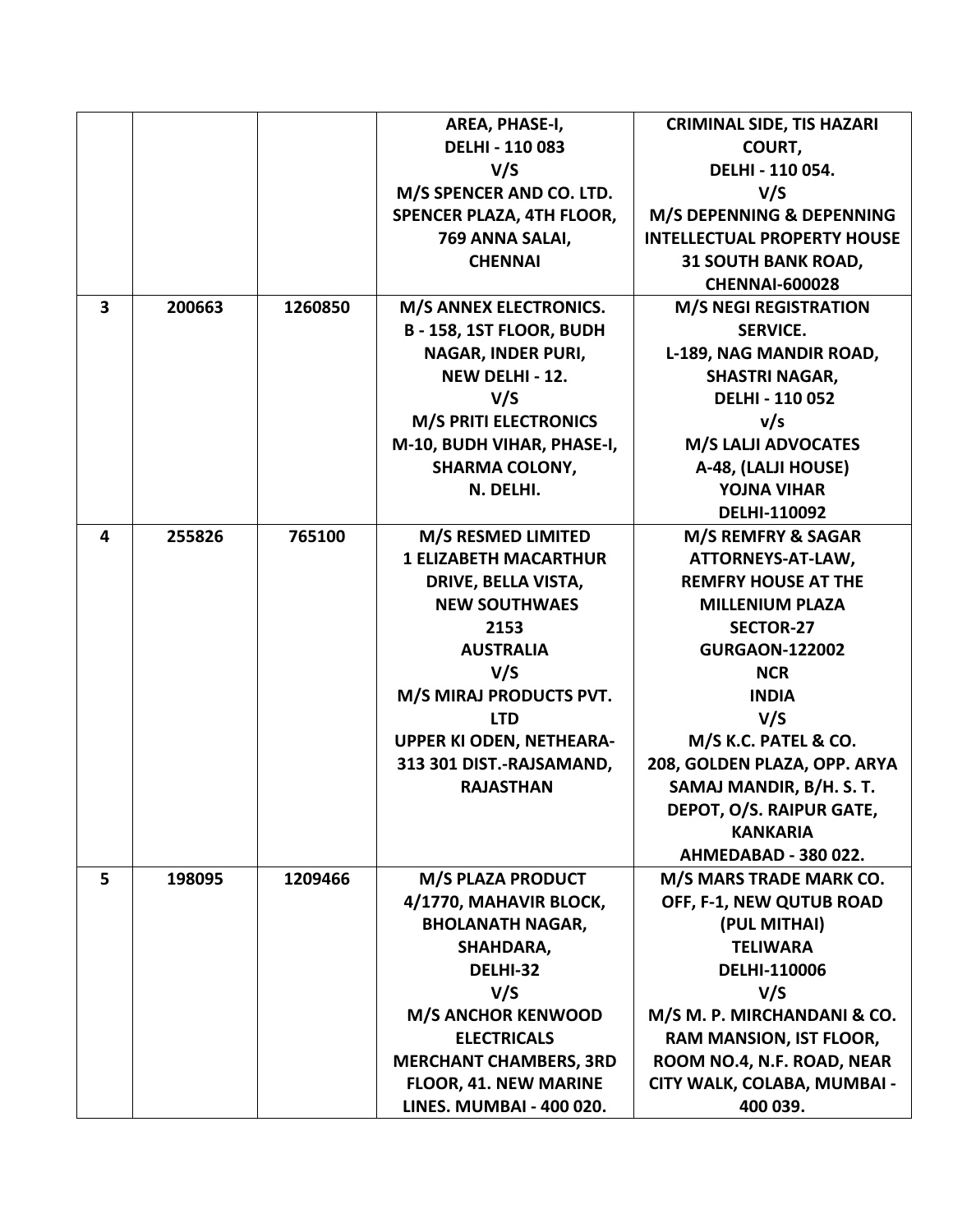|                         |        |         | AREA, PHASE-I,                  | <b>CRIMINAL SIDE, TIS HAZARI</b>   |
|-------------------------|--------|---------|---------------------------------|------------------------------------|
|                         |        |         | <b>DELHI - 110 083</b>          | COURT,                             |
|                         |        |         | V/S                             | DELHI - 110 054.                   |
|                         |        |         | M/S SPENCER AND CO. LTD.        | V/S                                |
|                         |        |         | SPENCER PLAZA, 4TH FLOOR,       | M/S DEPENNING & DEPENNING          |
|                         |        |         | 769 ANNA SALAI,                 | <b>INTELLECTUAL PROPERTY HOUSE</b> |
|                         |        |         | <b>CHENNAI</b>                  | <b>31 SOUTH BANK ROAD,</b>         |
|                         |        |         |                                 | <b>CHENNAI-600028</b>              |
| $\overline{\mathbf{3}}$ | 200663 | 1260850 | <b>M/S ANNEX ELECTRONICS.</b>   | <b>M/S NEGI REGISTRATION</b>       |
|                         |        |         | B - 158, 1ST FLOOR, BUDH        | <b>SERVICE.</b>                    |
|                         |        |         | NAGAR, INDER PURI,              | L-189, NAG MANDIR ROAD,            |
|                         |        |         | NEW DELHI - 12.                 | <b>SHASTRI NAGAR,</b>              |
|                         |        |         | V/S                             | <b>DELHI - 110 052</b>             |
|                         |        |         | <b>M/S PRITI ELECTRONICS</b>    | v/s                                |
|                         |        |         | M-10, BUDH VIHAR, PHASE-I,      | <b>M/S LALJI ADVOCATES</b>         |
|                         |        |         | <b>SHARMA COLONY,</b>           | A-48, (LALJI HOUSE)                |
|                         |        |         | N. DELHI.                       | <b>YOJNA VIHAR</b>                 |
|                         |        |         |                                 | DELHI-110092                       |
| 4                       | 255826 | 765100  | M/S RESMED LIMITED              | M/S REMFRY & SAGAR                 |
|                         |        |         | <b>1 ELIZABETH MACARTHUR</b>    | ATTORNEYS-AT-LAW,                  |
|                         |        |         | DRIVE, BELLA VISTA,             | <b>REMFRY HOUSE AT THE</b>         |
|                         |        |         | <b>NEW SOUTHWAES</b>            | <b>MILLENIUM PLAZA</b>             |
|                         |        |         | 2153                            | <b>SECTOR-27</b>                   |
|                         |        |         | <b>AUSTRALIA</b>                | <b>GURGAON-122002</b>              |
|                         |        |         | V/S                             | <b>NCR</b>                         |
|                         |        |         | M/S MIRAJ PRODUCTS PVT.         | <b>INDIA</b>                       |
|                         |        |         | <b>LTD</b>                      | V/S                                |
|                         |        |         | <b>UPPER KI ODEN, NETHEARA-</b> | M/S K.C. PATEL & CO.               |
|                         |        |         | 313 301 DIST.-RAJSAMAND,        | 208, GOLDEN PLAZA, OPP. ARYA       |
|                         |        |         | <b>RAJASTHAN</b>                | SAMAJ MANDIR, B/H. S. T.           |
|                         |        |         |                                 | DEPOT, O/S. RAIPUR GATE,           |
|                         |        |         |                                 | <b>KANKARIA</b>                    |
|                         |        |         |                                 | AHMEDABAD - 380 022.               |
| 5                       | 198095 | 1209466 | M/S PLAZA PRODUCT               | M/S MARS TRADE MARK CO.            |
|                         |        |         | 4/1770, MAHAVIR BLOCK,          | OFF, F-1, NEW QUTUB ROAD           |
|                         |        |         | <b>BHOLANATH NAGAR,</b>         | (PUL MITHAI)                       |
|                         |        |         | SHAHDARA,                       | <b>TELIWARA</b>                    |
|                         |        |         | DELHI-32                        | DELHI-110006                       |
|                         |        |         | V/S                             | V/S                                |
|                         |        |         | <b>M/S ANCHOR KENWOOD</b>       | M/S M. P. MIRCHANDANI & CO.        |
|                         |        |         | <b>ELECTRICALS</b>              | RAM MANSION, IST FLOOR,            |
|                         |        |         | <b>MERCHANT CHAMBERS, 3RD</b>   | ROOM NO.4, N.F. ROAD, NEAR         |
|                         |        |         | <b>FLOOR, 41. NEW MARINE</b>    | CITY WALK, COLABA, MUMBAI -        |
|                         |        |         | <b>LINES. MUMBAI - 400 020.</b> | 400 039.                           |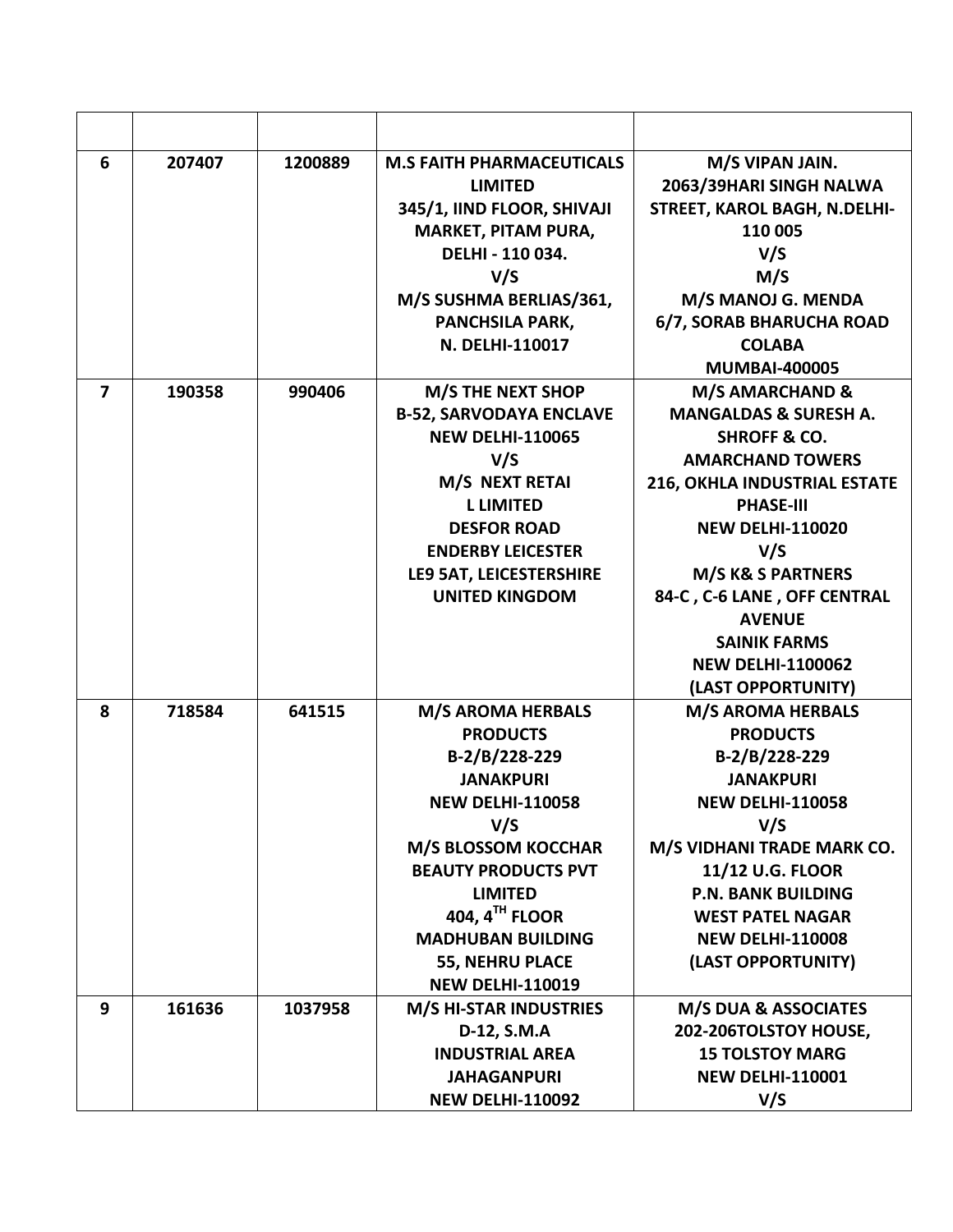| 6 | 207407 | 1200889 | <b>M.S FAITH PHARMACEUTICALS</b><br><b>LIMITED</b><br>345/1, IIND FLOOR, SHIVAJI<br><b>MARKET, PITAM PURA,</b><br>DELHI - 110 034.<br>V/S<br>M/S SUSHMA BERLIAS/361,<br>PANCHSILA PARK,<br>N. DELHI-110017                                                                                            | M/S VIPAN JAIN.<br>2063/39HARI SINGH NALWA<br>STREET, KAROL BAGH, N.DELHI-<br>110 005<br>V/S<br>M/S<br>M/S MANOJ G. MENDA<br>6/7, SORAB BHARUCHA ROAD<br><b>COLABA</b><br><b>MUMBAI-400005</b>                                                                                                                                                |
|---|--------|---------|-------------------------------------------------------------------------------------------------------------------------------------------------------------------------------------------------------------------------------------------------------------------------------------------------------|-----------------------------------------------------------------------------------------------------------------------------------------------------------------------------------------------------------------------------------------------------------------------------------------------------------------------------------------------|
| 7 | 190358 | 990406  | M/S THE NEXT SHOP<br><b>B-52, SARVODAYA ENCLAVE</b><br><b>NEW DELHI-110065</b><br>V/S<br>M/S NEXT RETAI<br><b>L LIMITED</b><br><b>DESFOR ROAD</b><br><b>ENDERBY LEICESTER</b><br>LE9 5AT, LEICESTERSHIRE<br><b>UNITED KINGDOM</b>                                                                     | M/S AMARCHAND &<br><b>MANGALDAS &amp; SURESH A.</b><br><b>SHROFF &amp; CO.</b><br><b>AMARCHAND TOWERS</b><br>216, OKHLA INDUSTRIAL ESTATE<br><b>PHASE-III</b><br><b>NEW DELHI-110020</b><br>V/S<br>M/S K& S PARTNERS<br>84-C, C-6 LANE, OFF CENTRAL<br><b>AVENUE</b><br><b>SAINIK FARMS</b><br><b>NEW DELHI-1100062</b><br>(LAST OPPORTUNITY) |
| 8 | 718584 | 641515  | <b>M/S AROMA HERBALS</b><br><b>PRODUCTS</b><br>B-2/B/228-229<br><b>JANAKPURI</b><br><b>NEW DELHI-110058</b><br>V/S<br><b>M/S BLOSSOM KOCCHAR</b><br><b>BEAUTY PRODUCTS PVT</b><br><b>LIMITED</b><br>404, $4TH$ FLOOR<br><b>MADHUBAN BUILDING</b><br><b>55, NEHRU PLACE</b><br><b>NEW DELHI-110019</b> | <b>M/S AROMA HERBALS</b><br><b>PRODUCTS</b><br>B-2/B/228-229<br><b>JANAKPURI</b><br><b>NEW DELHI-110058</b><br>V/S<br>M/S VIDHANI TRADE MARK CO.<br>11/12 U.G. FLOOR<br><b>P.N. BANK BUILDING</b><br><b>WEST PATEL NAGAR</b><br><b>NEW DELHI-110008</b><br>(LAST OPPORTUNITY)                                                                 |
| 9 | 161636 | 1037958 | <b>M/S HI-STAR INDUSTRIES</b><br>D-12, S.M.A<br><b>INDUSTRIAL AREA</b><br><b>JAHAGANPURI</b><br><b>NEW DELHI-110092</b>                                                                                                                                                                               | <b>M/S DUA &amp; ASSOCIATES</b><br>202-206TOLSTOY HOUSE,<br><b>15 TOLSTOY MARG</b><br><b>NEW DELHI-110001</b><br>V/S                                                                                                                                                                                                                          |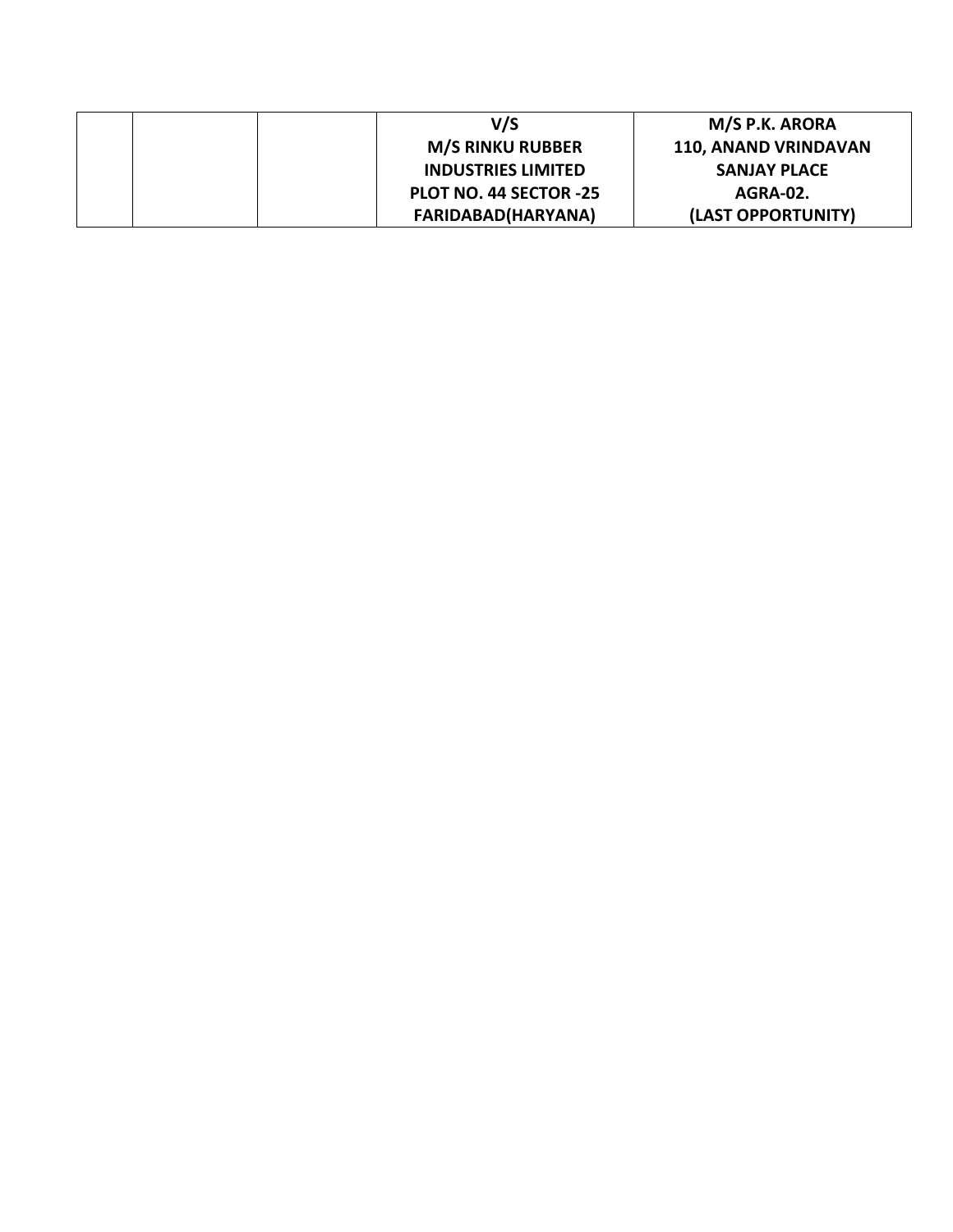|  | V/S                       | M/S P.K. ARORA              |
|--|---------------------------|-----------------------------|
|  | <b>M/S RINKU RUBBER</b>   | <b>110, ANAND VRINDAVAN</b> |
|  | <b>INDUSTRIES LIMITED</b> | <b>SANJAY PLACE</b>         |
|  | PLOT NO. 44 SECTOR -25    | AGRA-02.                    |
|  | <b>FARIDABAD(HARYANA)</b> | (LAST OPPORTUNITY)          |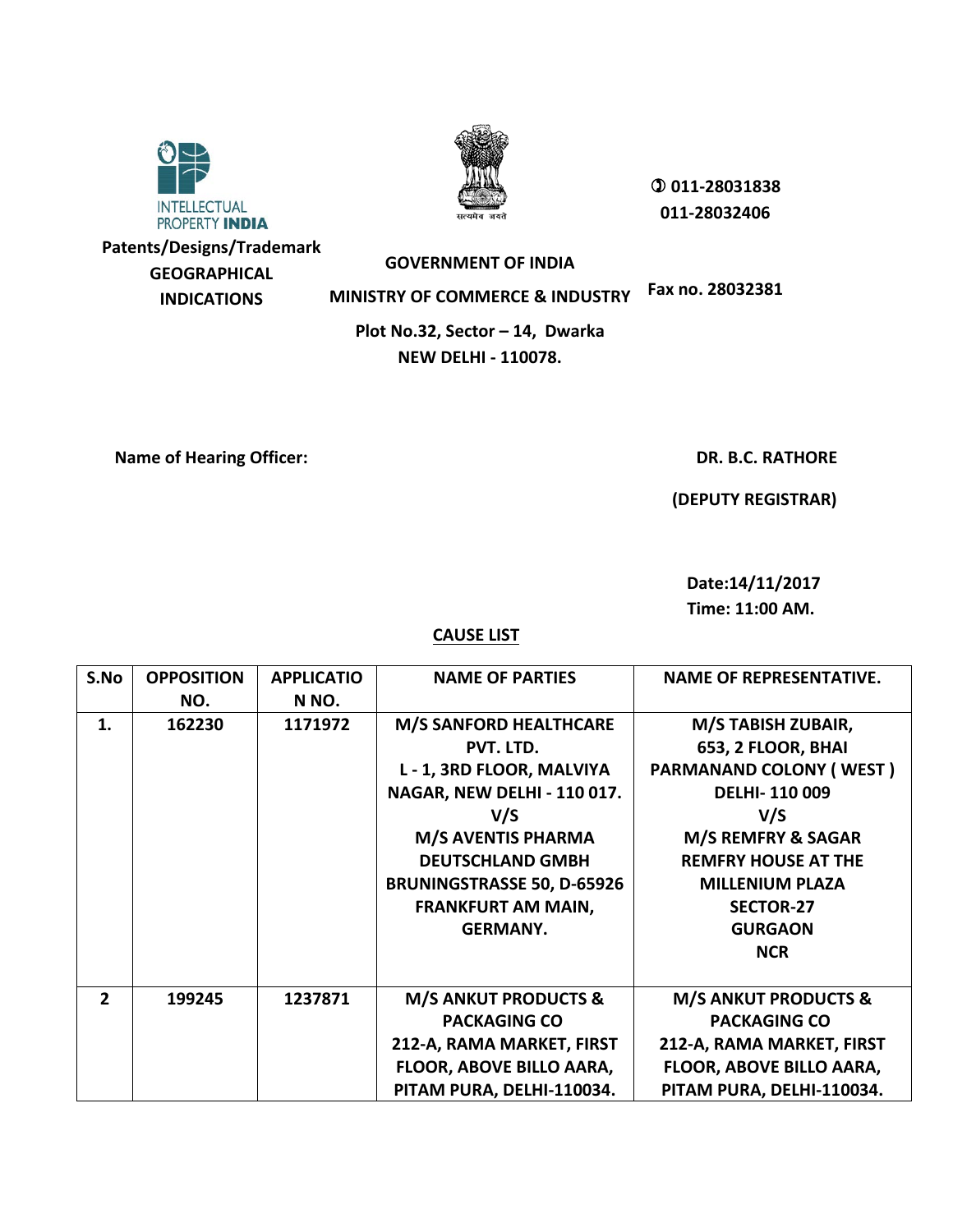



 **011-28031838 011-28032406**

**Patents/Designs/Trademark GEOGRAPHICAL INDICATIONS**

**GOVERNMENT OF INDIA MINISTRY OF COMMERCE & INDUSTRY Fax no. 28032381**

**Plot No.32, Sector – 14, Dwarka NEW DELHI - 110078.**

**Name of Hearing Officer:**  $\qquad \qquad$  **DR. B.C. RATHORE** 

 **(DEPUTY REGISTRAR)**

 **Date:14/11/2017 Time: 11:00 AM.**

| S.No           | <b>OPPOSITION</b><br>NO. | <b>APPLICATIO</b><br>N NO. | <b>NAME OF PARTIES</b>            | <b>NAME OF REPRESENTATIVE.</b>  |
|----------------|--------------------------|----------------------------|-----------------------------------|---------------------------------|
| 1.             | 162230                   | 1171972                    | <b>M/S SANFORD HEALTHCARE</b>     | M/S TABISH ZUBAIR,              |
|                |                          |                            | PVT. LTD.                         | 653, 2 FLOOR, BHAI              |
|                |                          |                            | L - 1, 3RD FLOOR, MALVIYA         | <b>PARMANAND COLONY (WEST)</b>  |
|                |                          |                            | NAGAR, NEW DELHI - 110 017.       | <b>DELHI-110 009</b>            |
|                |                          |                            | V/S                               | V/S                             |
|                |                          |                            | <b>M/S AVENTIS PHARMA</b>         | M/S REMFRY & SAGAR              |
|                |                          |                            | <b>DEUTSCHLAND GMBH</b>           | <b>REMFRY HOUSE AT THE</b>      |
|                |                          |                            | <b>BRUNINGSTRASSE 50, D-65926</b> | <b>MILLENIUM PLAZA</b>          |
|                |                          |                            | <b>FRANKFURT AM MAIN,</b>         | <b>SECTOR-27</b>                |
|                |                          |                            | <b>GERMANY.</b>                   | <b>GURGAON</b>                  |
|                |                          |                            |                                   | <b>NCR</b>                      |
|                |                          |                            |                                   |                                 |
| $\overline{2}$ | 199245                   | 1237871                    | <b>M/S ANKUT PRODUCTS &amp;</b>   | <b>M/S ANKUT PRODUCTS &amp;</b> |
|                |                          |                            | <b>PACKAGING CO</b>               | <b>PACKAGING CO</b>             |
|                |                          |                            | 212-A, RAMA MARKET, FIRST         | 212-A, RAMA MARKET, FIRST       |
|                |                          |                            | FLOOR, ABOVE BILLO AARA,          | FLOOR, ABOVE BILLO AARA,        |
|                |                          |                            | PITAM PURA, DELHI-110034.         | PITAM PURA, DELHI-110034.       |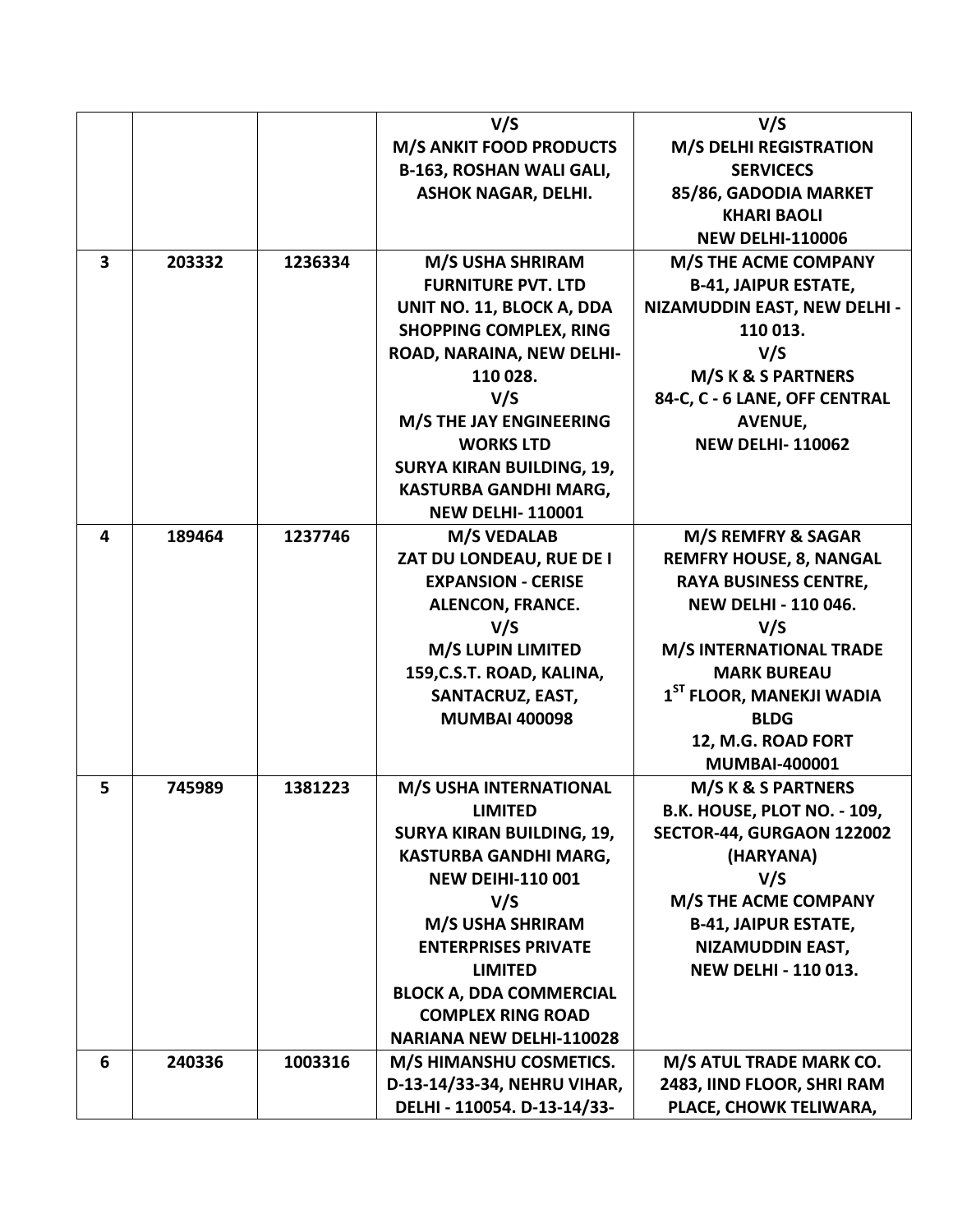|   |        |         | V/S                              | V/S                                  |
|---|--------|---------|----------------------------------|--------------------------------------|
|   |        |         | <b>M/S ANKIT FOOD PRODUCTS</b>   | <b>M/S DELHI REGISTRATION</b>        |
|   |        |         | <b>B-163, ROSHAN WALI GALI,</b>  | <b>SERVICECS</b>                     |
|   |        |         | <b>ASHOK NAGAR, DELHI.</b>       | 85/86, GADODIA MARKET                |
|   |        |         |                                  | <b>KHARI BAOLI</b>                   |
|   |        |         |                                  | <b>NEW DELHI-110006</b>              |
| 3 | 203332 | 1236334 | M/S USHA SHRIRAM                 | <b>M/S THE ACME COMPANY</b>          |
|   |        |         | <b>FURNITURE PVT. LTD</b>        | <b>B-41, JAIPUR ESTATE,</b>          |
|   |        |         | UNIT NO. 11, BLOCK A, DDA        | NIZAMUDDIN EAST, NEW DELHI -         |
|   |        |         | <b>SHOPPING COMPLEX, RING</b>    | 110 013.                             |
|   |        |         | ROAD, NARAINA, NEW DELHI-        | V/S                                  |
|   |        |         | 110 028.                         | M/S K & S PARTNERS                   |
|   |        |         | V/S                              | 84-C, C - 6 LANE, OFF CENTRAL        |
|   |        |         | <b>M/S THE JAY ENGINEERING</b>   | <b>AVENUE,</b>                       |
|   |        |         | <b>WORKS LTD</b>                 | <b>NEW DELHI-110062</b>              |
|   |        |         | <b>SURYA KIRAN BUILDING, 19,</b> |                                      |
|   |        |         | KASTURBA GANDHI MARG,            |                                      |
|   |        |         | <b>NEW DELHI-110001</b>          |                                      |
| 4 | 189464 | 1237746 | <b>M/S VEDALAB</b>               | M/S REMFRY & SAGAR                   |
|   |        |         | ZAT DU LONDEAU, RUE DE I         | <b>REMFRY HOUSE, 8, NANGAL</b>       |
|   |        |         | <b>EXPANSION - CERISE</b>        | <b>RAYA BUSINESS CENTRE,</b>         |
|   |        |         | ALENCON, FRANCE.                 | <b>NEW DELHI - 110 046.</b>          |
|   |        |         | V/S                              | V/S                                  |
|   |        |         | M/S LUPIN LIMITED                | <b>M/S INTERNATIONAL TRADE</b>       |
|   |        |         | 159, C.S.T. ROAD, KALINA,        | <b>MARK BUREAU</b>                   |
|   |        |         | <b>SANTACRUZ, EAST,</b>          | 1 <sup>ST</sup> FLOOR, MANEKJI WADIA |
|   |        |         | <b>MUMBAI 400098</b>             | <b>BLDG</b>                          |
|   |        |         |                                  | 12, M.G. ROAD FORT                   |
|   |        |         |                                  | <b>MUMBAI-400001</b>                 |
| 5 | 745989 | 1381223 | M/S USHA INTERNATIONAL           | M/S K & S PARTNERS                   |
|   |        |         | <b>LIMITED</b>                   | <b>B.K. HOUSE, PLOT NO. - 109,</b>   |
|   |        |         | <b>SURYA KIRAN BUILDING, 19,</b> | SECTOR-44, GURGAON 122002            |
|   |        |         | KASTURBA GANDHI MARG,            | (HARYANA)                            |
|   |        |         | <b>NEW DEIHI-110 001</b>         | V/S                                  |
|   |        |         | V/S                              | <b>M/S THE ACME COMPANY</b>          |
|   |        |         | M/S USHA SHRIRAM                 | <b>B-41, JAIPUR ESTATE,</b>          |
|   |        |         | <b>ENTERPRISES PRIVATE</b>       | NIZAMUDDIN EAST,                     |
|   |        |         | <b>LIMITED</b>                   | <b>NEW DELHI - 110 013.</b>          |
|   |        |         | <b>BLOCK A, DDA COMMERCIAL</b>   |                                      |
|   |        |         | <b>COMPLEX RING ROAD</b>         |                                      |
|   |        |         | <b>NARIANA NEW DELHI-110028</b>  |                                      |
| 6 | 240336 | 1003316 | M/S HIMANSHU COSMETICS.          | M/S ATUL TRADE MARK CO.              |
|   |        |         | D-13-14/33-34, NEHRU VIHAR,      | 2483, IIND FLOOR, SHRI RAM           |
|   |        |         | DELHI - 110054. D-13-14/33-      | PLACE, CHOWK TELIWARA,               |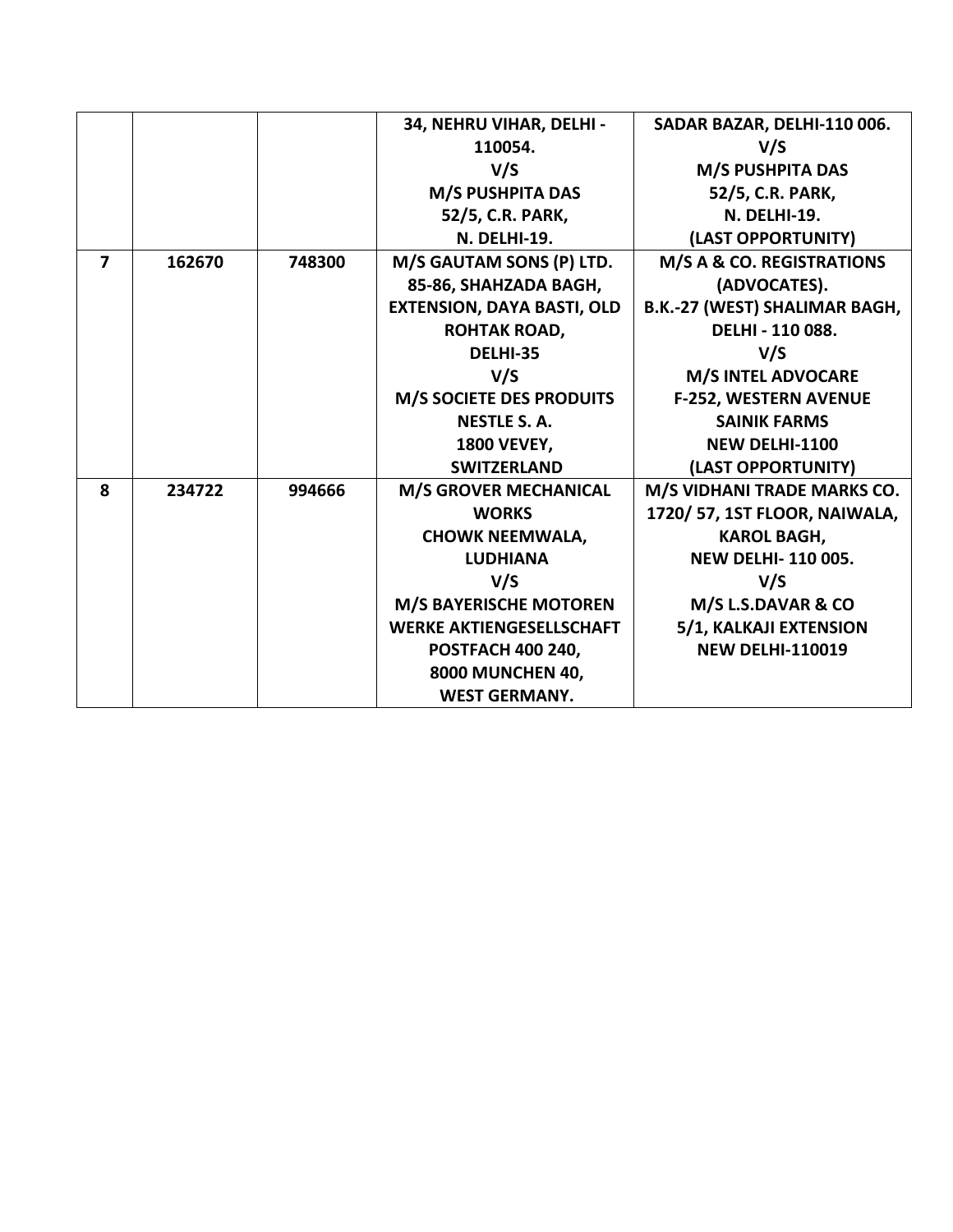|                         |        |        | 34, NEHRU VIHAR, DELHI -          | SADAR BAZAR, DELHI-110 006.          |
|-------------------------|--------|--------|-----------------------------------|--------------------------------------|
|                         |        |        | 110054.                           | V/S                                  |
|                         |        |        | V/S                               | M/S PUSHPITA DAS                     |
|                         |        |        | M/S PUSHPITA DAS                  | 52/5, C.R. PARK,                     |
|                         |        |        | 52/5, C.R. PARK,                  | <b>N. DELHI-19.</b>                  |
|                         |        |        | <b>N. DELHI-19.</b>               | (LAST OPPORTUNITY)                   |
| $\overline{\mathbf{z}}$ | 162670 | 748300 | M/S GAUTAM SONS (P) LTD.          | M/S A & CO. REGISTRATIONS            |
|                         |        |        | 85-86, SHAHZADA BAGH,             | (ADVOCATES).                         |
|                         |        |        | <b>EXTENSION, DAYA BASTI, OLD</b> | <b>B.K.-27 (WEST) SHALIMAR BAGH,</b> |
|                         |        |        | <b>ROHTAK ROAD,</b>               | DELHI - 110 088.                     |
|                         |        |        | DELHI-35                          | V/S                                  |
|                         |        |        | V/S                               | <b>M/S INTEL ADVOCARE</b>            |
|                         |        |        | M/S SOCIETE DES PRODUITS          | <b>F-252, WESTERN AVENUE</b>         |
|                         |        |        | <b>NESTLE S.A.</b>                | <b>SAINIK FARMS</b>                  |
|                         |        |        | <b>1800 VEVEY,</b>                | <b>NEW DELHI-1100</b>                |
|                         |        |        | <b>SWITZERLAND</b>                | (LAST OPPORTUNITY)                   |
| 8                       | 234722 | 994666 | <b>M/S GROVER MECHANICAL</b>      | M/S VIDHANI TRADE MARKS CO.          |
|                         |        |        | <b>WORKS</b>                      | 1720/ 57, 1ST FLOOR, NAIWALA,        |
|                         |        |        | <b>CHOWK NEEMWALA,</b>            | <b>KAROL BAGH,</b>                   |
|                         |        |        | <b>LUDHIANA</b>                   | <b>NEW DELHI-110005.</b>             |
|                         |        |        | V/S                               | V/S                                  |
|                         |        |        | <b>M/S BAYERISCHE MOTOREN</b>     | M/S L.S.DAVAR & CO                   |
|                         |        |        | <b>WERKE AKTIENGESELLSCHAFT</b>   | 5/1, KALKAJI EXTENSION               |
|                         |        |        | <b>POSTFACH 400 240,</b>          | <b>NEW DELHI-110019</b>              |
|                         |        |        | 8000 MUNCHEN 40,                  |                                      |
|                         |        |        | <b>WEST GERMANY.</b>              |                                      |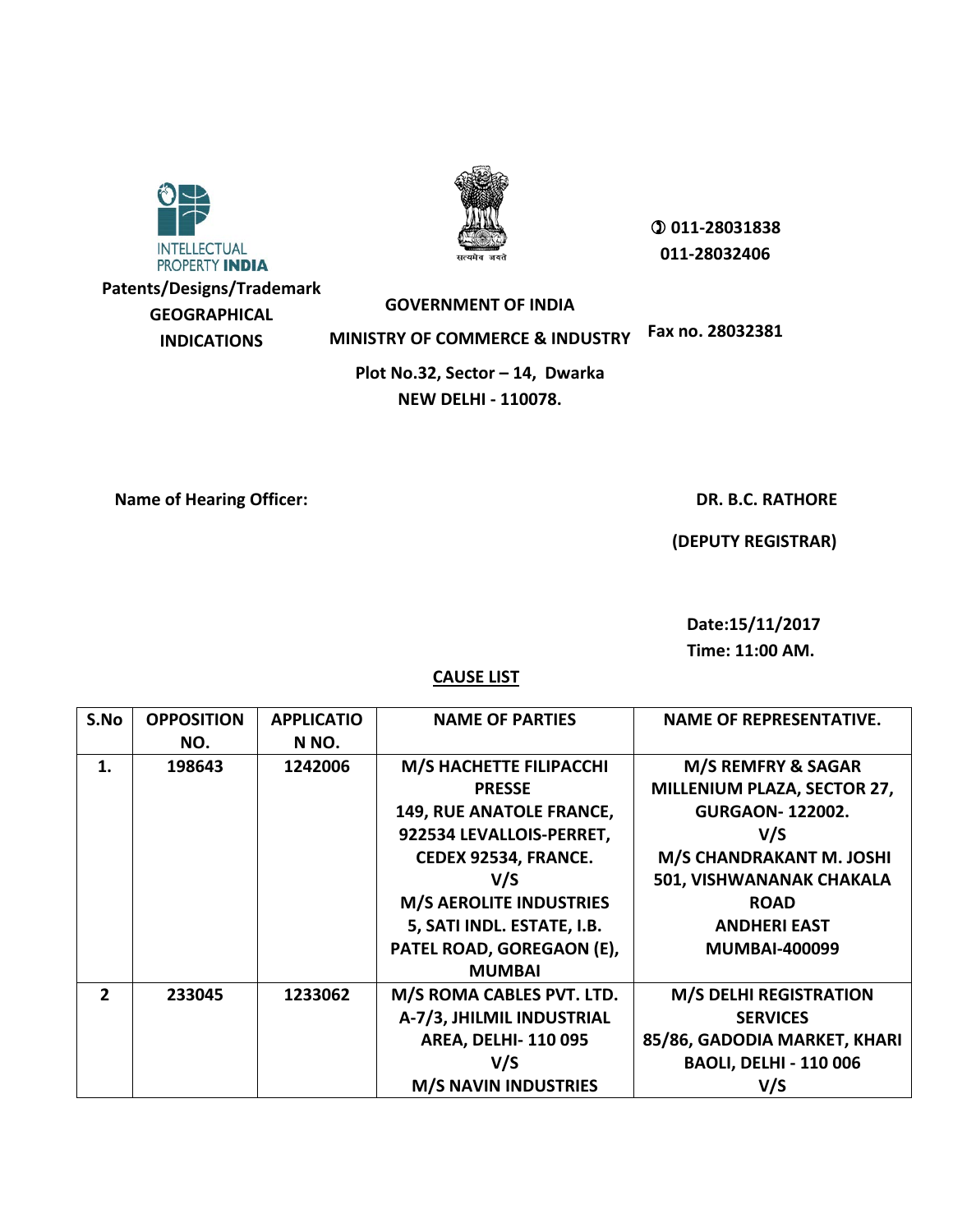

**Patents/Designs/Trademark GEOGRAPHICAL INDICATIONS**



 **011-28031838 011-28032406**

**GOVERNMENT OF INDIA**

**MINISTRY OF COMMERCE & INDUSTRY Fax no. 28032381**

**Plot No.32, Sector – 14, Dwarka NEW DELHI - 110078.**

**Name of Hearing Officer:**  $\blacksquare$ 

 **(DEPUTY REGISTRAR)**

 **Date:15/11/2017 Time: 11:00 AM.**

| S.No                     | <b>OPPOSITION</b> | <b>APPLICATIO</b> | <b>NAME OF PARTIES</b>         | <b>NAME OF REPRESENTATIVE.</b> |
|--------------------------|-------------------|-------------------|--------------------------------|--------------------------------|
|                          | NO.               | N NO.             |                                |                                |
| 1.                       | 198643            | 1242006           | M/S HACHETTE FILIPACCHI        | M/S REMFRY & SAGAR             |
|                          |                   |                   | <b>PRESSE</b>                  | MILLENIUM PLAZA, SECTOR 27,    |
|                          |                   |                   | 149, RUE ANATOLE FRANCE,       | <b>GURGAON-122002.</b>         |
|                          |                   |                   | 922534 LEVALLOIS-PERRET,       | V/S                            |
|                          |                   |                   | CEDEX 92534, FRANCE.           | M/S CHANDRAKANT M. JOSHI       |
|                          |                   |                   | V/S                            | 501, VISHWANANAK CHAKALA       |
|                          |                   |                   | <b>M/S AEROLITE INDUSTRIES</b> | <b>ROAD</b>                    |
|                          |                   |                   | 5, SATI INDL. ESTATE, I.B.     | <b>ANDHERI EAST</b>            |
|                          |                   |                   | PATEL ROAD, GOREGAON (E),      | <b>MUMBAI-400099</b>           |
|                          |                   |                   | <b>MUMBAI</b>                  |                                |
| $\overline{\phantom{a}}$ | 233045            | 1233062           | M/S ROMA CABLES PVT. LTD.      | <b>M/S DELHI REGISTRATION</b>  |
|                          |                   |                   | A-7/3, JHILMIL INDUSTRIAL      | <b>SERVICES</b>                |
|                          |                   |                   | <b>AREA, DELHI-110095</b>      | 85/86, GADODIA MARKET, KHARI   |
|                          |                   |                   | V/S                            | <b>BAOLI, DELHI - 110 006</b>  |
|                          |                   |                   | <b>M/S NAVIN INDUSTRIES</b>    | V/S                            |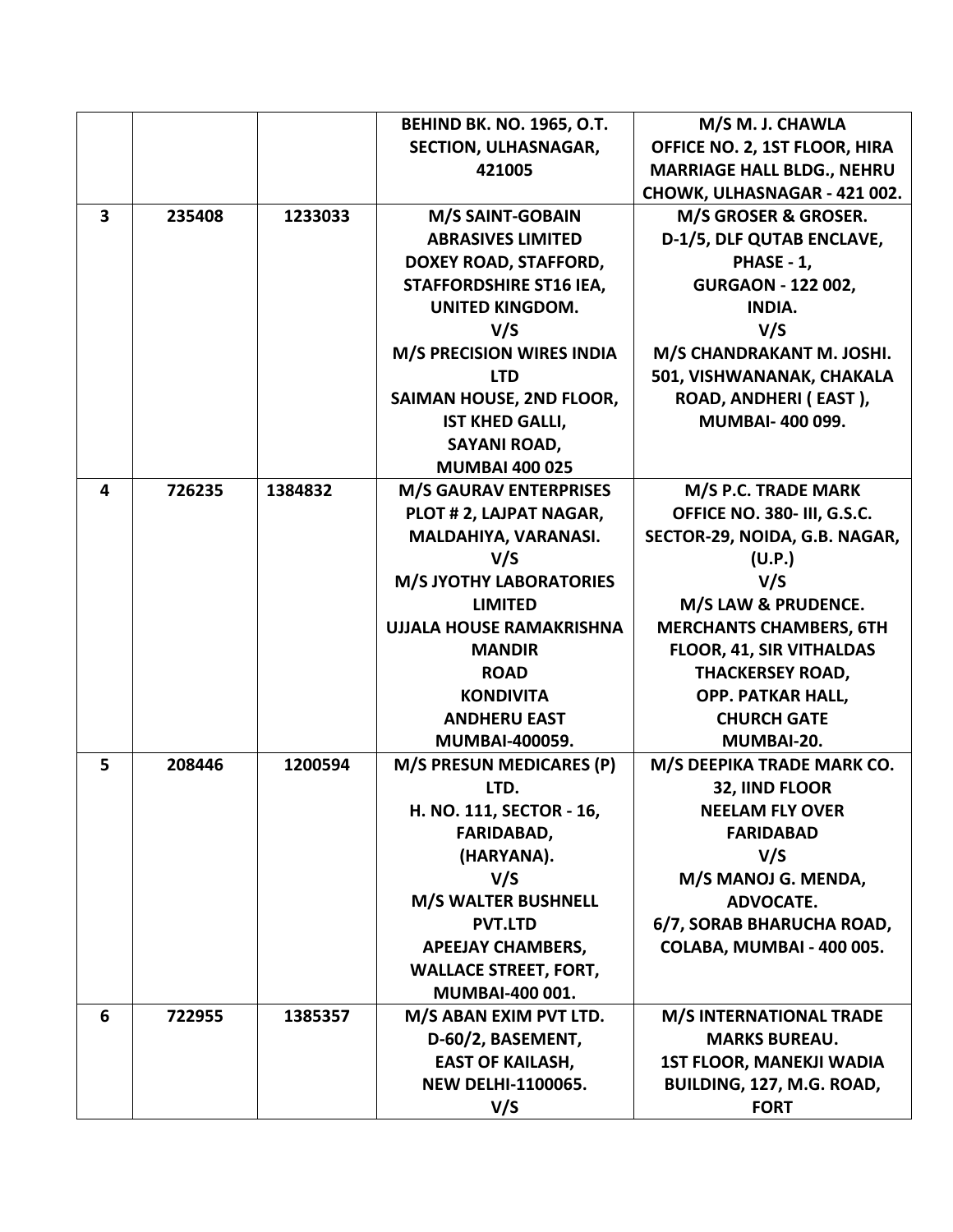|                         |        |         | <b>BEHIND BK. NO. 1965, O.T.</b> | M/S M. J. CHAWLA                  |
|-------------------------|--------|---------|----------------------------------|-----------------------------------|
|                         |        |         | SECTION, ULHASNAGAR,             | OFFICE NO. 2, 1ST FLOOR, HIRA     |
|                         |        |         | 421005                           | <b>MARRIAGE HALL BLDG., NEHRU</b> |
|                         |        |         |                                  | CHOWK, ULHASNAGAR - 421 002.      |
| $\overline{\mathbf{3}}$ | 235408 | 1233033 | <b>M/S SAINT-GOBAIN</b>          | M/S GROSER & GROSER.              |
|                         |        |         | <b>ABRASIVES LIMITED</b>         | D-1/5, DLF QUTAB ENCLAVE,         |
|                         |        |         | DOXEY ROAD, STAFFORD,            | PHASE - 1,                        |
|                         |        |         | <b>STAFFORDSHIRE ST16 IEA,</b>   | <b>GURGAON - 122 002,</b>         |
|                         |        |         | <b>UNITED KINGDOM.</b>           | <b>INDIA.</b>                     |
|                         |        |         | V/S                              | V/S                               |
|                         |        |         | <b>M/S PRECISION WIRES INDIA</b> | M/S CHANDRAKANT M. JOSHI.         |
|                         |        |         | <b>LTD</b>                       | 501, VISHWANANAK, CHAKALA         |
|                         |        |         | SAIMAN HOUSE, 2ND FLOOR,         | ROAD, ANDHERI (EAST),             |
|                         |        |         | <b>IST KHED GALLI,</b>           | <b>MUMBAI-400099.</b>             |
|                         |        |         | <b>SAYANI ROAD,</b>              |                                   |
|                         |        |         | <b>MUMBAI 400 025</b>            |                                   |
| 4                       | 726235 | 1384832 | <b>M/S GAURAV ENTERPRISES</b>    | M/S P.C. TRADE MARK               |
|                         |        |         | PLOT # 2, LAJPAT NAGAR,          | OFFICE NO. 380- III, G.S.C.       |
|                         |        |         | MALDAHIYA, VARANASI.             | SECTOR-29, NOIDA, G.B. NAGAR,     |
|                         |        |         | V/S                              | (U.P.)                            |
|                         |        |         | <b>M/S JYOTHY LABORATORIES</b>   | V/S                               |
|                         |        |         | <b>LIMITED</b>                   | M/S LAW & PRUDENCE.               |
|                         |        |         | <b>UJJALA HOUSE RAMAKRISHNA</b>  | <b>MERCHANTS CHAMBERS, 6TH</b>    |
|                         |        |         | <b>MANDIR</b>                    | FLOOR, 41, SIR VITHALDAS          |
|                         |        |         | <b>ROAD</b>                      | <b>THACKERSEY ROAD,</b>           |
|                         |        |         | <b>KONDIVITA</b>                 | <b>OPP. PATKAR HALL,</b>          |
|                         |        |         | <b>ANDHERU EAST</b>              | <b>CHURCH GATE</b>                |
|                         |        |         | <b>MUMBAI-400059.</b>            | MUMBAI-20.                        |
| 5                       | 208446 | 1200594 | M/S PRESUN MEDICARES (P)         | M/S DEEPIKA TRADE MARK CO.        |
|                         |        |         | LTD.                             | 32, IIND FLOOR                    |
|                         |        |         | H. NO. 111, SECTOR - 16,         | <b>NEELAM FLY OVER</b>            |
|                         |        |         | FARIDABAD,                       | <b>FARIDABAD</b>                  |
|                         |        |         | (HARYANA).                       | V/S                               |
|                         |        |         | V/S                              | M/S MANOJ G. MENDA,               |
|                         |        |         | <b>M/S WALTER BUSHNELL</b>       | <b>ADVOCATE.</b>                  |
|                         |        |         | <b>PVT.LTD</b>                   | 6/7, SORAB BHARUCHA ROAD,         |
|                         |        |         | <b>APEEJAY CHAMBERS,</b>         | COLABA, MUMBAI - 400 005.         |
|                         |        |         | <b>WALLACE STREET, FORT,</b>     |                                   |
|                         |        |         | <b>MUMBAI-400 001.</b>           |                                   |
| 6                       | 722955 | 1385357 | M/S ABAN EXIM PVT LTD.           | <b>M/S INTERNATIONAL TRADE</b>    |
|                         |        |         | D-60/2, BASEMENT,                | <b>MARKS BUREAU.</b>              |
|                         |        |         | <b>EAST OF KAILASH,</b>          | <b>1ST FLOOR, MANEKJI WADIA</b>   |
|                         |        |         | <b>NEW DELHI-1100065.</b>        | BUILDING, 127, M.G. ROAD,         |
|                         |        |         | V/S                              | <b>FORT</b>                       |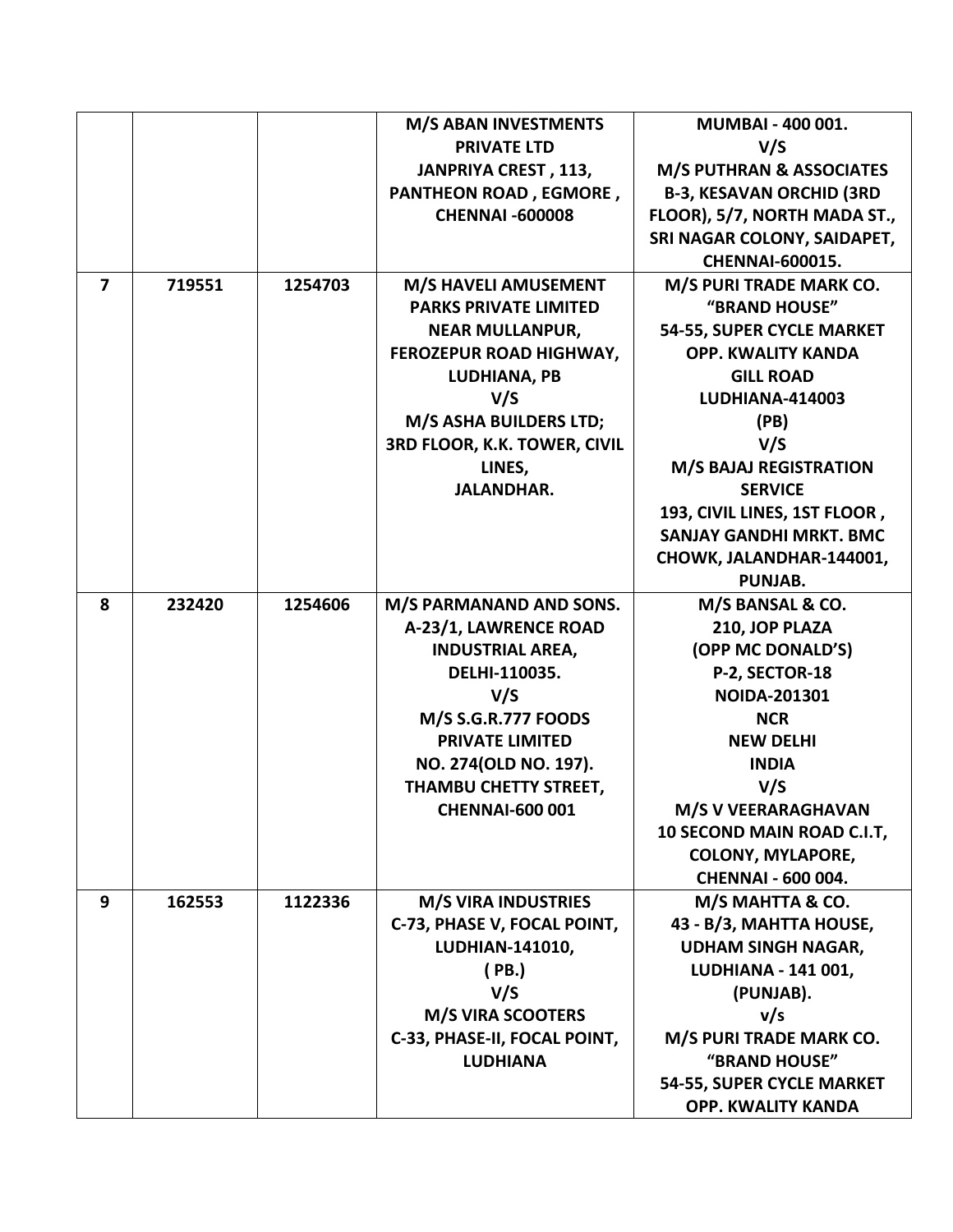|                |        |         | <b>M/S ABAN INVESTMENTS</b>   | <b>MUMBAI - 400 001.</b>            |
|----------------|--------|---------|-------------------------------|-------------------------------------|
|                |        |         | <b>PRIVATE LTD</b>            | V/S                                 |
|                |        |         | JANPRIYA CREST, 113,          | <b>M/S PUTHRAN &amp; ASSOCIATES</b> |
|                |        |         | <b>PANTHEON ROAD, EGMORE,</b> | <b>B-3, KESAVAN ORCHID (3RD</b>     |
|                |        |         | <b>CHENNAI -600008</b>        | FLOOR), 5/7, NORTH MADA ST.,        |
|                |        |         |                               | SRI NAGAR COLONY, SAIDAPET,         |
|                |        |         |                               | <b>CHENNAI-600015.</b>              |
| $\overline{ }$ | 719551 | 1254703 | M/S HAVELI AMUSEMENT          | M/S PURI TRADE MARK CO.             |
|                |        |         | <b>PARKS PRIVATE LIMITED</b>  | "BRAND HOUSE"                       |
|                |        |         | <b>NEAR MULLANPUR,</b>        | 54-55, SUPER CYCLE MARKET           |
|                |        |         | FEROZEPUR ROAD HIGHWAY,       | <b>OPP. KWALITY KANDA</b>           |
|                |        |         | LUDHIANA, PB                  | <b>GILL ROAD</b>                    |
|                |        |         | V/S                           | <b>LUDHIANA-414003</b>              |
|                |        |         | M/S ASHA BUILDERS LTD;        | (PB)                                |
|                |        |         | 3RD FLOOR, K.K. TOWER, CIVIL  | V/S                                 |
|                |        |         | LINES,                        | <b>M/S BAJAJ REGISTRATION</b>       |
|                |        |         | <b>JALANDHAR.</b>             | <b>SERVICE</b>                      |
|                |        |         |                               | 193, CIVIL LINES, 1ST FLOOR,        |
|                |        |         |                               | <b>SANJAY GANDHI MRKT. BMC</b>      |
|                |        |         |                               | CHOWK, JALANDHAR-144001,            |
|                |        |         |                               | PUNJAB.                             |
| 8              | 232420 | 1254606 | M/S PARMANAND AND SONS.       | M/S BANSAL & CO.                    |
|                |        |         | A-23/1, LAWRENCE ROAD         | 210, JOP PLAZA                      |
|                |        |         | <b>INDUSTRIAL AREA,</b>       | (OPP MC DONALD'S)                   |
|                |        |         | DELHI-110035.                 | P-2, SECTOR-18                      |
|                |        |         | V/S                           | <b>NOIDA-201301</b>                 |
|                |        |         | <b>M/S S.G.R.777 FOODS</b>    | <b>NCR</b>                          |
|                |        |         | <b>PRIVATE LIMITED</b>        | <b>NEW DELHI</b>                    |
|                |        |         | NO. 274(OLD NO. 197).         | <b>INDIA</b>                        |
|                |        |         | THAMBU CHETTY STREET,         | V/S                                 |
|                |        |         | <b>CHENNAI-600 001</b>        | M/S V VEERARAGHAVAN                 |
|                |        |         |                               | 10 SECOND MAIN ROAD C.I.T.          |
|                |        |         |                               | <b>COLONY, MYLAPORE,</b>            |
|                |        |         |                               | <b>CHENNAI - 600 004.</b>           |
| 9              | 162553 | 1122336 | <b>M/S VIRA INDUSTRIES</b>    | M/S MAHTTA & CO.                    |
|                |        |         | C-73, PHASE V, FOCAL POINT,   | 43 - B/3, MAHTTA HOUSE,             |
|                |        |         | LUDHIAN-141010,               | <b>UDHAM SINGH NAGAR,</b>           |
|                |        |         | (PB.)                         | <b>LUDHIANA - 141 001,</b>          |
|                |        |         | V/S                           | (PUNJAB).                           |
|                |        |         | <b>M/S VIRA SCOOTERS</b>      | v/s                                 |
|                |        |         | C-33, PHASE-II, FOCAL POINT,  | M/S PURI TRADE MARK CO.             |
|                |        |         | <b>LUDHIANA</b>               | "BRAND HOUSE"                       |
|                |        |         |                               | 54-55, SUPER CYCLE MARKET           |
|                |        |         |                               | <b>OPP. KWALITY KANDA</b>           |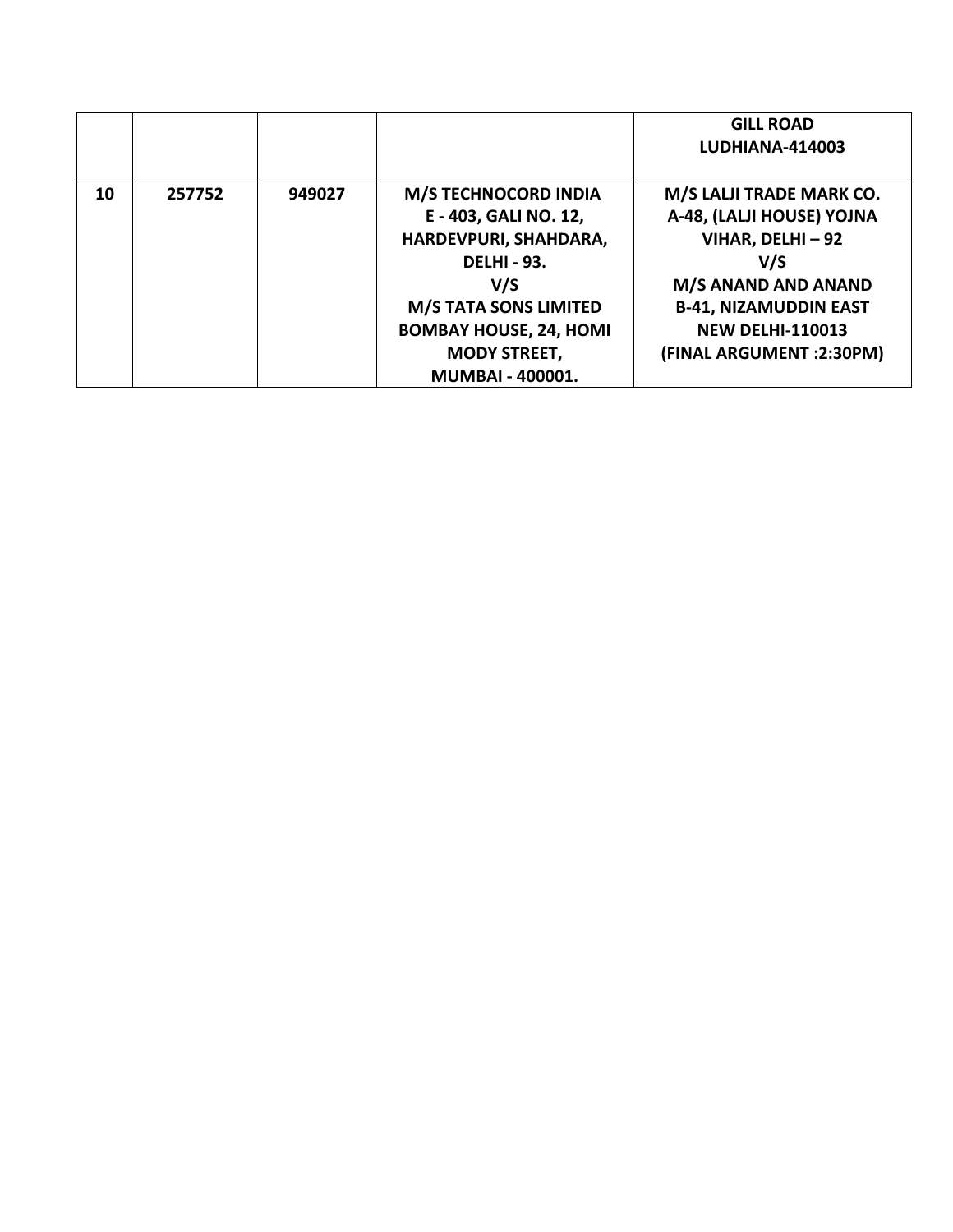|    |        |        |                               | <b>GILL ROAD</b>             |
|----|--------|--------|-------------------------------|------------------------------|
|    |        |        |                               | LUDHIANA-414003              |
|    |        |        |                               |                              |
| 10 | 257752 | 949027 | <b>M/S TECHNOCORD INDIA</b>   | M/S LALJI TRADE MARK CO.     |
|    |        |        | E - 403, GALI NO. 12,         | A-48, (LALJI HOUSE) YOJNA    |
|    |        |        | HARDEVPURI, SHAHDARA,         | VIHAR, DELHI - 92            |
|    |        |        | <b>DELHI - 93.</b>            | V/S                          |
|    |        |        | V/S                           | M/S ANAND AND ANAND          |
|    |        |        | <b>M/S TATA SONS LIMITED</b>  | <b>B-41, NIZAMUDDIN EAST</b> |
|    |        |        | <b>BOMBAY HOUSE, 24, HOMI</b> | <b>NEW DELHI-110013</b>      |
|    |        |        | <b>MODY STREET,</b>           | (FINAL ARGUMENT : 2:30PM)    |
|    |        |        | <b>MUMBAI - 400001.</b>       |                              |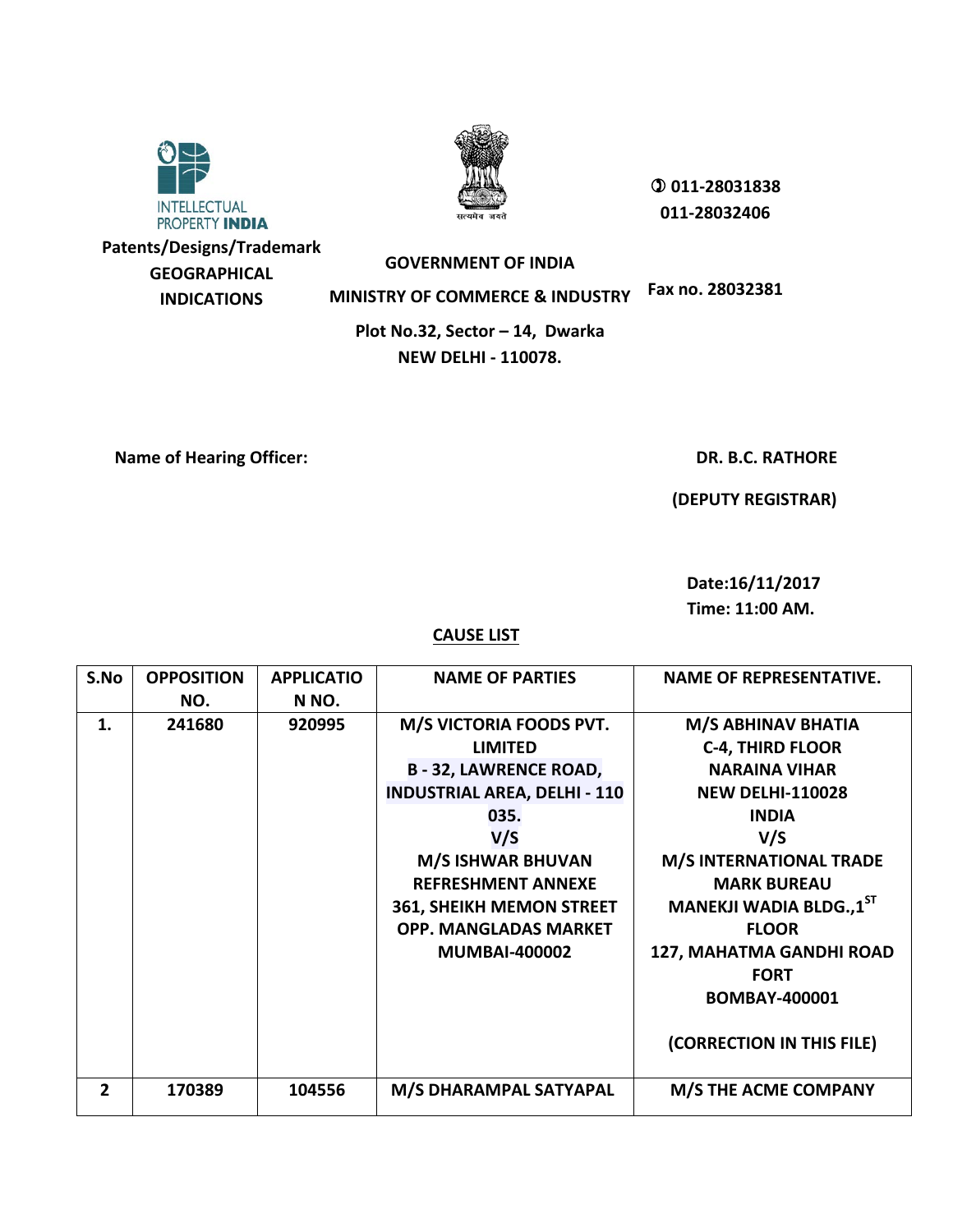



 **011-28031838 011-28032406**

**Patents/Designs/Trademark GEOGRAPHICAL INDICATIONS**

**GOVERNMENT OF INDIA MINISTRY OF COMMERCE & INDUSTRY Fax no. 28032381**

**Plot No.32, Sector – 14, Dwarka NEW DELHI - 110078.**

**Name of Hearing Officer:**  $\blacksquare$ 

 **(DEPUTY REGISTRAR)**

 **Date:16/11/2017 Time: 11:00 AM.**

| S.No           | <b>OPPOSITION</b> | <b>APPLICATIO</b> | <b>NAME OF PARTIES</b>              | <b>NAME OF REPRESENTATIVE.</b> |
|----------------|-------------------|-------------------|-------------------------------------|--------------------------------|
|                | NO.               | N NO.             |                                     |                                |
| 1.             | 241680            | 920995            | <b>M/S VICTORIA FOODS PVT.</b>      | M/S ABHINAV BHATIA             |
|                |                   |                   | <b>LIMITED</b>                      | <b>C-4, THIRD FLOOR</b>        |
|                |                   |                   | <b>B-32, LAWRENCE ROAD,</b>         | <b>NARAINA VIHAR</b>           |
|                |                   |                   | <b>INDUSTRIAL AREA, DELHI - 110</b> | <b>NEW DELHI-110028</b>        |
|                |                   |                   | 035.                                | <b>INDIA</b>                   |
|                |                   |                   | V/S                                 | V/S                            |
|                |                   |                   | <b>M/S ISHWAR BHUVAN</b>            | <b>M/S INTERNATIONAL TRADE</b> |
|                |                   |                   | <b>REFRESHMENT ANNEXE</b>           | <b>MARK BUREAU</b>             |
|                |                   |                   | <b>361, SHEIKH MEMON STREET</b>     | MANEKJI WADIA BLDG.,1ST        |
|                |                   |                   | <b>OPP. MANGLADAS MARKET</b>        | <b>FLOOR</b>                   |
|                |                   |                   | <b>MUMBAI-400002</b>                | 127, MAHATMA GANDHI ROAD       |
|                |                   |                   |                                     | <b>FORT</b>                    |
|                |                   |                   |                                     | <b>BOMBAY-400001</b>           |
|                |                   |                   |                                     |                                |
|                |                   |                   |                                     | (CORRECTION IN THIS FILE)      |
|                |                   |                   |                                     |                                |
| $\overline{2}$ | 170389            | 104556            | M/S DHARAMPAL SATYAPAL              | <b>M/S THE ACME COMPANY</b>    |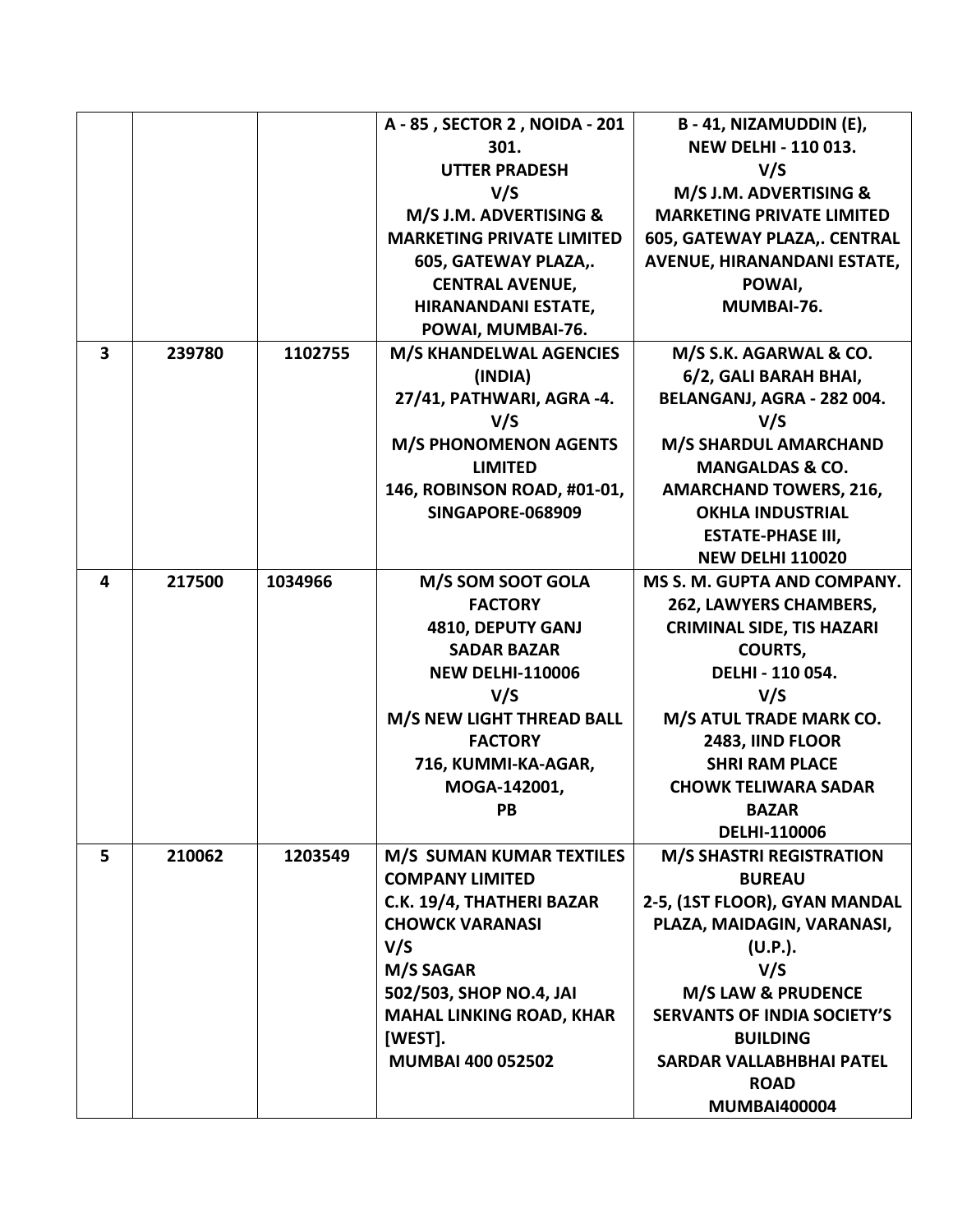|                         |        |         | A - 85, SECTOR 2, NOIDA - 201    | B-41, NIZAMUDDIN (E),              |
|-------------------------|--------|---------|----------------------------------|------------------------------------|
|                         |        |         | 301.                             | <b>NEW DELHI - 110 013.</b>        |
|                         |        |         | <b>UTTER PRADESH</b>             | V/S                                |
|                         |        |         | V/S                              | M/S J.M. ADVERTISING &             |
|                         |        |         | M/S J.M. ADVERTISING &           | <b>MARKETING PRIVATE LIMITED</b>   |
|                         |        |         | <b>MARKETING PRIVATE LIMITED</b> | 605, GATEWAY PLAZA,. CENTRAL       |
|                         |        |         | 605, GATEWAY PLAZA,.             | AVENUE, HIRANANDANI ESTATE,        |
|                         |        |         | <b>CENTRAL AVENUE,</b>           | POWAI,                             |
|                         |        |         | HIRANANDANI ESTATE,              | MUMBAI-76.                         |
|                         |        |         | POWAI, MUMBAI-76.                |                                    |
| $\overline{\mathbf{3}}$ | 239780 | 1102755 | <b>M/S KHANDELWAL AGENCIES</b>   | M/S S.K. AGARWAL & CO.             |
|                         |        |         | (INDIA)                          | 6/2, GALI BARAH BHAI,              |
|                         |        |         | 27/41, PATHWARI, AGRA -4.        | BELANGANJ, AGRA - 282 004.         |
|                         |        |         | V/S                              | V/S                                |
|                         |        |         | <b>M/S PHONOMENON AGENTS</b>     | <b>M/S SHARDUL AMARCHAND</b>       |
|                         |        |         | <b>LIMITED</b>                   | <b>MANGALDAS &amp; CO.</b>         |
|                         |        |         | 146, ROBINSON ROAD, #01-01,      | <b>AMARCHAND TOWERS, 216,</b>      |
|                         |        |         | <b>SINGAPORE-068909</b>          | <b>OKHLA INDUSTRIAL</b>            |
|                         |        |         |                                  | <b>ESTATE-PHASE III,</b>           |
|                         |        |         |                                  | <b>NEW DELHI 110020</b>            |
| 4                       | 217500 | 1034966 | M/S SOM SOOT GOLA                | MS S. M. GUPTA AND COMPANY.        |
|                         |        |         | <b>FACTORY</b>                   | 262, LAWYERS CHAMBERS,             |
|                         |        |         | 4810, DEPUTY GANJ                | <b>CRIMINAL SIDE, TIS HAZARI</b>   |
|                         |        |         | <b>SADAR BAZAR</b>               | <b>COURTS,</b>                     |
|                         |        |         | <b>NEW DELHI-110006</b>          | DELHI - 110 054.                   |
|                         |        |         | V/S                              | V/S                                |
|                         |        |         | M/S NEW LIGHT THREAD BALL        | M/S ATUL TRADE MARK CO.            |
|                         |        |         | <b>FACTORY</b>                   | 2483, IIND FLOOR                   |
|                         |        |         | 716, KUMMI-KA-AGAR,              | <b>SHRI RAM PLACE</b>              |
|                         |        |         | MOGA-142001,                     | <b>CHOWK TELIWARA SADAR</b>        |
|                         |        |         | PB                               | <b>BAZAR</b>                       |
|                         |        |         |                                  | <b>DELHI-110006</b>                |
| 5                       | 210062 | 1203549 | M/S SUMAN KUMAR TEXTILES         | <b>M/S SHASTRI REGISTRATION</b>    |
|                         |        |         | <b>COMPANY LIMITED</b>           | <b>BUREAU</b>                      |
|                         |        |         | C.K. 19/4, THATHERI BAZAR        | 2-5, (1ST FLOOR), GYAN MANDAL      |
|                         |        |         | <b>CHOWCK VARANASI</b>           | PLAZA, MAIDAGIN, VARANASI,         |
|                         |        |         | V/S                              | $(U.P.)$ .                         |
|                         |        |         | M/S SAGAR                        | V/S                                |
|                         |        |         | 502/503, SHOP NO.4, JAI          | <b>M/S LAW &amp; PRUDENCE</b>      |
|                         |        |         | <b>MAHAL LINKING ROAD, KHAR</b>  | <b>SERVANTS OF INDIA SOCIETY'S</b> |
|                         |        |         | [WEST].                          | <b>BUILDING</b>                    |
|                         |        |         | <b>MUMBAI 400 052502</b>         | <b>SARDAR VALLABHBHAI PATEL</b>    |
|                         |        |         |                                  | <b>ROAD</b>                        |
|                         |        |         |                                  | <b>MUMBAI400004</b>                |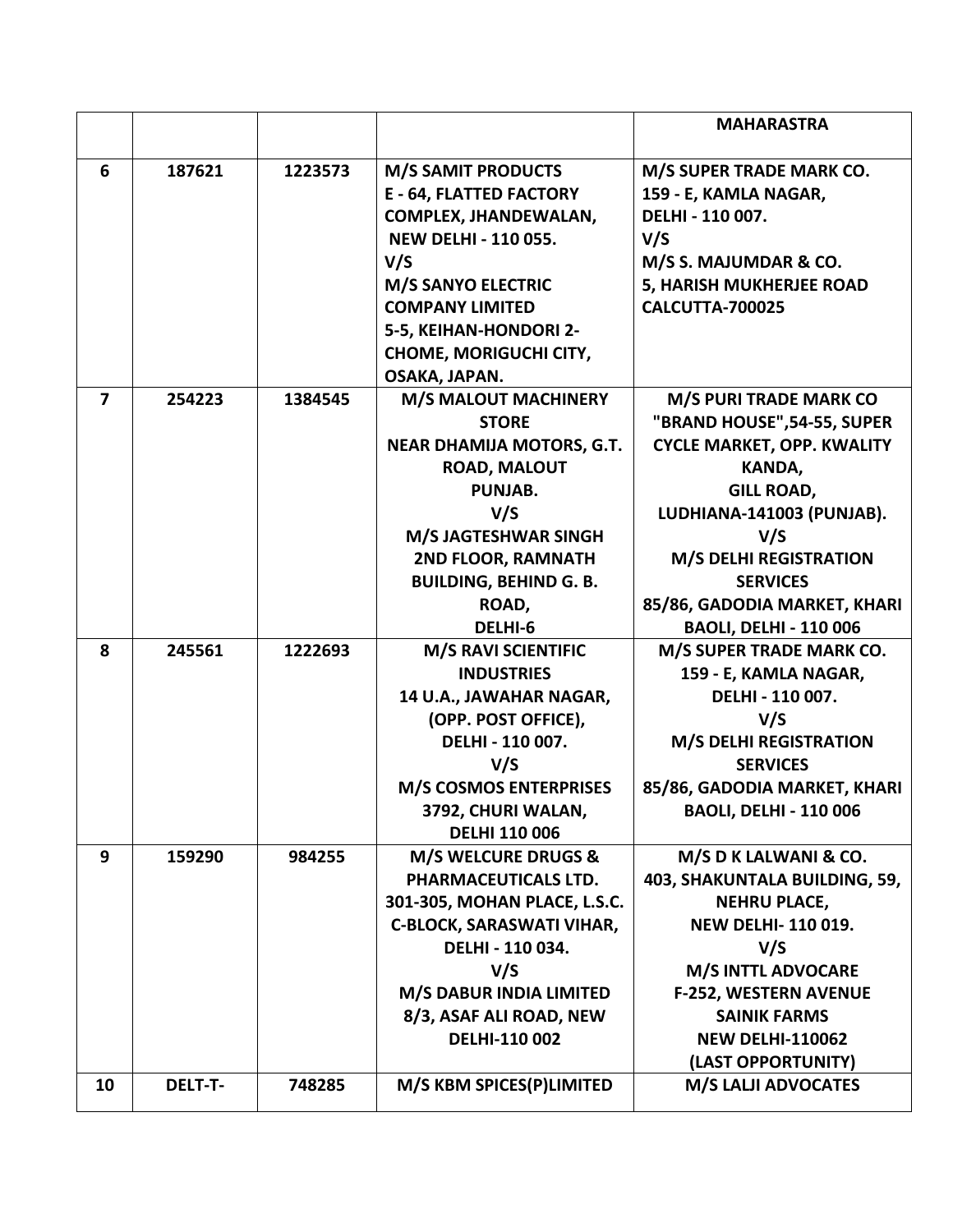|                         |                |         |                                                                  | <b>MAHARASTRA</b>                               |
|-------------------------|----------------|---------|------------------------------------------------------------------|-------------------------------------------------|
| 6                       | 187621         | 1223573 | <b>M/S SAMIT PRODUCTS</b>                                        | M/S SUPER TRADE MARK CO.                        |
|                         |                |         | <b>E - 64, FLATTED FACTORY</b>                                   | 159 - E, KAMLA NAGAR,                           |
|                         |                |         | <b>COMPLEX, JHANDEWALAN,</b>                                     | DELHI - 110 007.                                |
|                         |                |         | <b>NEW DELHI - 110 055.</b>                                      | V/S                                             |
|                         |                |         | V/S                                                              | M/S S. MAJUMDAR & CO.                           |
|                         |                |         | <b>M/S SANYO ELECTRIC</b>                                        | 5, HARISH MUKHERJEE ROAD                        |
|                         |                |         | <b>COMPANY LIMITED</b>                                           | <b>CALCUTTA-700025</b>                          |
|                         |                |         | 5-5, KEIHAN-HONDORI 2-                                           |                                                 |
|                         |                |         | <b>CHOME, MORIGUCHI CITY,</b>                                    |                                                 |
|                         |                |         | OSAKA, JAPAN.                                                    |                                                 |
| $\overline{\mathbf{z}}$ | 254223         | 1384545 | <b>M/S MALOUT MACHINERY</b>                                      | <b>M/S PURI TRADE MARK CO</b>                   |
|                         |                |         | <b>STORE</b>                                                     | "BRAND HOUSE", 54-55, SUPER                     |
|                         |                |         | <b>NEAR DHAMIJA MOTORS, G.T.</b>                                 | <b>CYCLE MARKET, OPP. KWALITY</b>               |
|                         |                |         | <b>ROAD, MALOUT</b>                                              | KANDA,                                          |
|                         |                |         | PUNJAB.                                                          | <b>GILL ROAD,</b>                               |
|                         |                |         | V/S                                                              | LUDHIANA-141003 (PUNJAB).                       |
|                         |                |         | <b>M/S JAGTESHWAR SINGH</b>                                      | V/S                                             |
|                         |                |         | 2ND FLOOR, RAMNATH                                               | <b>M/S DELHI REGISTRATION</b>                   |
|                         |                |         | <b>BUILDING, BEHIND G. B.</b>                                    | <b>SERVICES</b>                                 |
|                         |                |         | ROAD,                                                            | 85/86, GADODIA MARKET, KHARI                    |
|                         |                |         | DELHI-6                                                          | <b>BAOLI, DELHI - 110 006</b>                   |
| 8                       | 245561         | 1222693 | <b>M/S RAVI SCIENTIFIC</b>                                       | M/S SUPER TRADE MARK CO.                        |
|                         |                |         | <b>INDUSTRIES</b>                                                | 159 - E, KAMLA NAGAR,                           |
|                         |                |         | 14 U.A., JAWAHAR NAGAR,                                          | DELHI - 110 007.                                |
|                         |                |         | (OPP. POST OFFICE),                                              | V/S                                             |
|                         |                |         | DELHI - 110 007.                                                 | <b>M/S DELHI REGISTRATION</b>                   |
|                         |                |         | V/S                                                              | <b>SERVICES</b>                                 |
|                         |                |         | <b>M/S COSMOS ENTERPRISES</b>                                    | 85/86, GADODIA MARKET, KHARI                    |
|                         |                |         | 3792, CHURI WALAN,                                               | <b>BAOLI, DELHI - 110 006</b>                   |
|                         |                |         | <b>DELHI 110 006</b>                                             |                                                 |
| 9                       | 159290         | 984255  | <b>M/S WELCURE DRUGS &amp;</b>                                   | M/S D K LALWANI & CO.                           |
|                         |                |         | PHARMACEUTICALS LTD.                                             | 403, SHAKUNTALA BUILDING, 59,                   |
|                         |                |         | 301-305, MOHAN PLACE, L.S.C.<br><b>C-BLOCK, SARASWATI VIHAR,</b> | <b>NEHRU PLACE,</b><br><b>NEW DELHI-110019.</b> |
|                         |                |         | DELHI - 110 034.                                                 | V/S                                             |
|                         |                |         | V/S                                                              | <b>M/S INTTL ADVOCARE</b>                       |
|                         |                |         | M/S DABUR INDIA LIMITED                                          | <b>F-252, WESTERN AVENUE</b>                    |
|                         |                |         | 8/3, ASAF ALI ROAD, NEW                                          | <b>SAINIK FARMS</b>                             |
|                         |                |         | DELHI-110 002                                                    | <b>NEW DELHI-110062</b>                         |
|                         |                |         |                                                                  | (LAST OPPORTUNITY)                              |
| 10                      | <b>DELT-T-</b> | 748285  | M/S KBM SPICES(P)LIMITED                                         | <b>M/S LALJI ADVOCATES</b>                      |
|                         |                |         |                                                                  |                                                 |